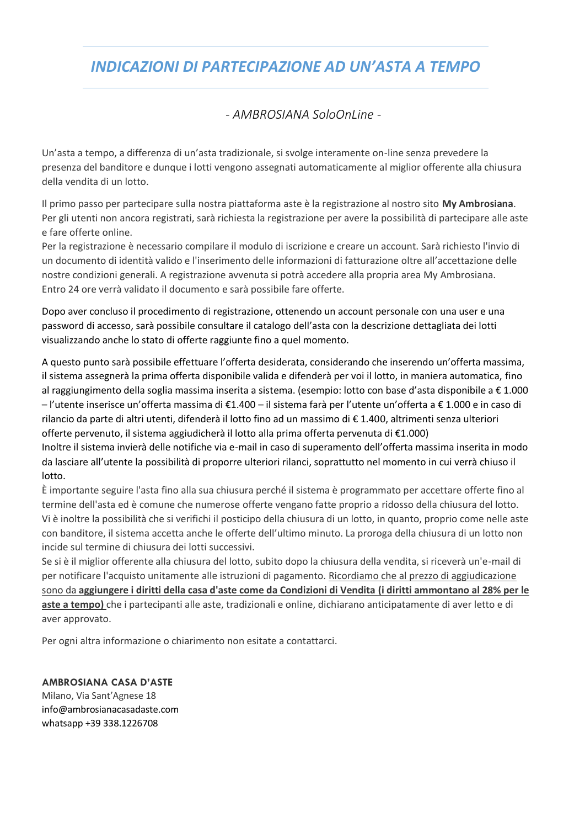## *INDICAZIONI DI PARTECIPAZIONE AD UN'ASTA A TEMPO*

## - *AMBROSIANA SoloOnLine -*

Un'asta a tempo, a differenza di un'asta tradizionale, si svolge interamente on-line senza prevedere la presenza del banditore e dunque i lotti vengono assegnati automaticamente al miglior offerente alla chiusura della vendita di un lotto.

Il primo passo per partecipare sulla nostra piattaforma aste è la registrazione al nostro sito **My Ambrosiana**. Per gli utenti non ancora registrati, sarà richiesta la registrazione per avere la possibilità di partecipare alle aste e fare offerte online.

Per la registrazione è necessario compilare il modulo di iscrizione e creare un account. Sarà richiesto l'invio di un documento di identità valido e l'inserimento delle informazioni di fatturazione oltre all'accettazione delle nostre condizioni generali. A registrazione avvenuta si potrà accedere alla propria area My Ambrosiana. Entro 24 ore verrà validato il documento e sarà possibile fare offerte.

Dopo aver concluso il procedimento di registrazione, ottenendo un account personale con una user e una password di accesso, sarà possibile consultare il catalogo dell'asta con la descrizione dettagliata dei lotti visualizzando anche lo stato di offerte raggiunte fino a quel momento.

A questo punto sarà possibile effettuare l'offerta desiderata, considerando che inserendo un'offerta massima, il sistema assegnerà la prima offerta disponibile valida e difenderà per voi il lotto, in maniera automatica, fino al raggiungimento della soglia massima inserita a sistema. (esempio: lotto con base d'asta disponibile a € 1.000 – l'utente inserisce un'offerta massima di €1.400 – il sistema farà per l'utente un'offerta a € 1.000 e in caso di rilancio da parte di altri utenti, difenderà il lotto fino ad un massimo di € 1.400, altrimenti senza ulteriori offerte pervenuto, il sistema aggiudicherà il lotto alla prima offerta pervenuta di €1.000) Inoltre il sistema invierà delle notifiche via e-mail in caso di superamento dell'offerta massima inserita in modo da lasciare all'utente la possibilità di proporre ulteriori rilanci, soprattutto nel momento in cui verrà chiuso il lotto.

È importante seguire l'asta fino alla sua chiusura perché il sistema è programmato per accettare offerte fino al termine dell'asta ed è comune che numerose offerte vengano fatte proprio a ridosso della chiusura del lotto. Vi è inoltre la possibilità che si verifichi il posticipo della chiusura di un lotto, in quanto, proprio come nelle aste con banditore, il sistema accetta anche le offerte dell'ultimo minuto. La proroga della chiusura di un lotto non incide sul termine di chiusura dei lotti successivi.

Se si è il miglior offerente alla chiusura del lotto, subito dopo la chiusura della vendita, si riceverà un'e-mail di per notificare l'acquisto unitamente alle istruzioni di pagamento. Ricordiamo che al prezzo di aggiudicazione sono da **aggiungere i diritti della casa d'aste come da Condizioni di Vendita (i diritti ammontano al 28% per le aste a tempo)** che i partecipanti alle aste, tradizionali e online, dichiarano anticipatamente di aver letto e di aver approvato.

Per ogni altra informazione o chiarimento non esitate a contattarci.

#### **AMBROSIANA CASA D'ASTE**

Milano, Via Sant'Agnese 18 [info@ambrosianacasadaste.com](mailto:info@ambrosianacasadaste.com) whatsapp +39 338.1226708